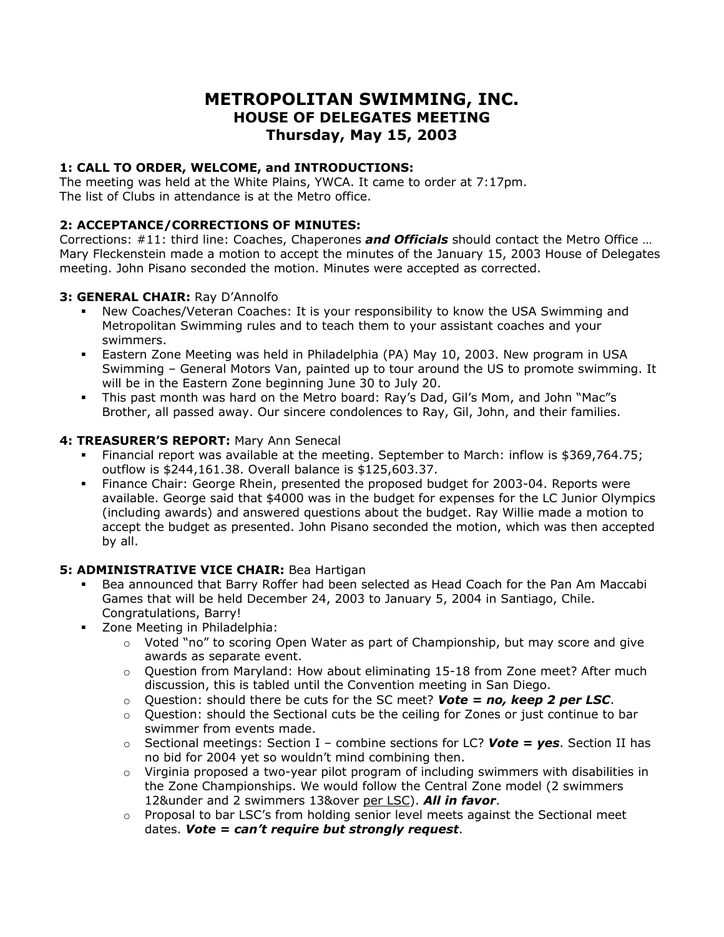# **METROPOLITAN SWIMMING, INC. HOUSE OF DELEGATES MEETING Thursday, May 15, 2003**

#### **1: CALL TO ORDER, WELCOME, and INTRODUCTIONS:**

The meeting was held at the White Plains, YWCA. It came to order at 7:17pm. The list of Clubs in attendance is at the Metro office.

#### **2: ACCEPTANCE/CORRECTIONS OF MINUTES:**

Corrections: #11: third line: Coaches, Chaperones *and Officials* should contact the Metro Office … Mary Fleckenstein made a motion to accept the minutes of the January 15, 2003 House of Delegates meeting. John Pisano seconded the motion. Minutes were accepted as corrected.

#### **3: GENERAL CHAIR:** Ray D'Annolfo

- New Coaches/Veteran Coaches: It is your responsibility to know the USA Swimming and Metropolitan Swimming rules and to teach them to your assistant coaches and your swimmers.
- Eastern Zone Meeting was held in Philadelphia (PA) May 10, 2003. New program in USA Swimming – General Motors Van, painted up to tour around the US to promote swimming. It will be in the Eastern Zone beginning June 30 to July 20.
- This past month was hard on the Metro board: Ray's Dad, Gil's Mom, and John "Mac"s Brother, all passed away. Our sincere condolences to Ray, Gil, John, and their families.

#### **4: TREASURER'S REPORT:** Mary Ann Senecal

- Financial report was available at the meeting. September to March: inflow is \$369,764.75; outflow is \$244,161.38. Overall balance is \$125,603.37.
- Finance Chair: George Rhein, presented the proposed budget for 2003-04. Reports were available. George said that \$4000 was in the budget for expenses for the LC Junior Olympics (including awards) and answered questions about the budget. Ray Willie made a motion to accept the budget as presented. John Pisano seconded the motion, which was then accepted by all.

## **5: ADMINISTRATIVE VICE CHAIR:** Bea Hartigan

- Bea announced that Barry Roffer had been selected as Head Coach for the Pan Am Maccabi Games that will be held December 24, 2003 to January 5, 2004 in Santiago, Chile. Congratulations, Barry!
- **EXECONE** Zone Meeting in Philadelphia:
	- o Voted "no" to scoring Open Water as part of Championship, but may score and give awards as separate event.
	- $\circ$  Question from Maryland: How about eliminating 15-18 from Zone meet? After much discussion, this is tabled until the Convention meeting in San Diego.
	- o Question: should there be cuts for the SC meet? *Vote = no, keep 2 per LSC*.
	- $\circ$  Question: should the Sectional cuts be the ceiling for Zones or just continue to bar swimmer from events made.
	- o Sectional meetings: Section I combine sections for LC? *Vote = yes*. Section II has no bid for 2004 yet so wouldn't mind combining then.
	- $\circ$  Virginia proposed a two-year pilot program of including swimmers with disabilities in the Zone Championships. We would follow the Central Zone model (2 swimmers 12&under and 2 swimmers 13&over per LSC). *All in favor*.
	- $\circ$  Proposal to bar LSC's from holding senior level meets against the Sectional meet dates. *Vote = can't require but strongly request*.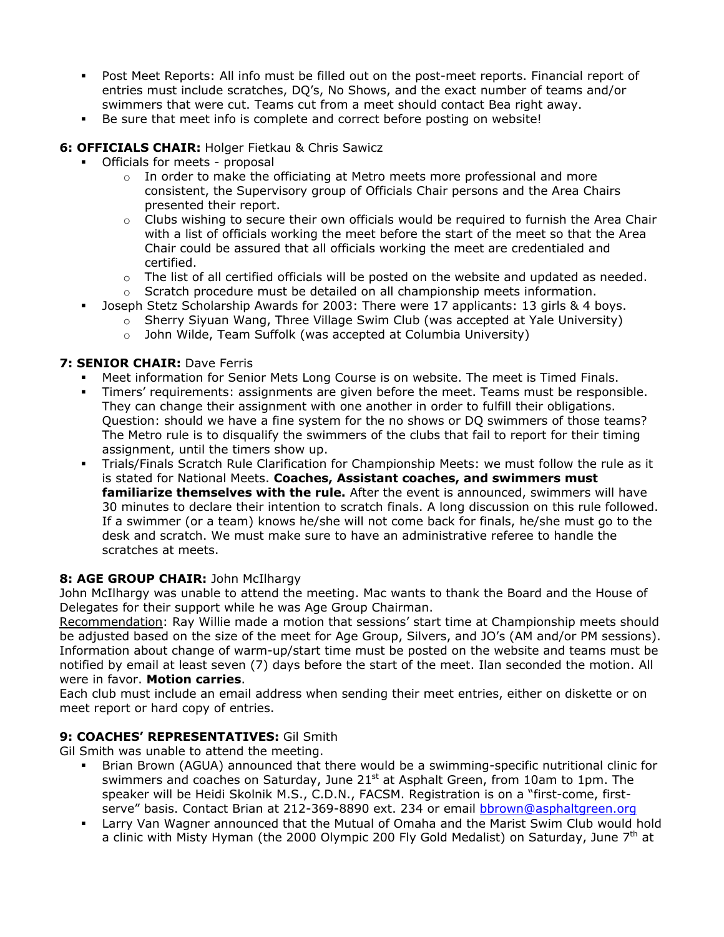- Post Meet Reports: All info must be filled out on the post-meet reports. Financial report of entries must include scratches, DQ's, No Shows, and the exact number of teams and/or swimmers that were cut. Teams cut from a meet should contact Bea right away.
- Be sure that meet info is complete and correct before posting on website!

### **6: OFFICIALS CHAIR:** Holger Fietkau & Chris Sawicz

- Officials for meets proposal
	- $\circ$  In order to make the officiating at Metro meets more professional and more consistent, the Supervisory group of Officials Chair persons and the Area Chairs presented their report.
	- $\circ$  Clubs wishing to secure their own officials would be required to furnish the Area Chair with a list of officials working the meet before the start of the meet so that the Area Chair could be assured that all officials working the meet are credentialed and certified.
	- $\circ$  The list of all certified officials will be posted on the website and updated as needed.
	- $\circ$  Scratch procedure must be detailed on all championship meets information.
	- Joseph Stetz Scholarship Awards for 2003: There were 17 applicants: 13 girls & 4 boys.
		- o Sherry Siyuan Wang, Three Village Swim Club (was accepted at Yale University)
		- o John Wilde, Team Suffolk (was accepted at Columbia University)

#### **7: SENIOR CHAIR:** Dave Ferris

- Meet information for Senior Mets Long Course is on website. The meet is Timed Finals.
- Timers' requirements: assignments are given before the meet. Teams must be responsible. They can change their assignment with one another in order to fulfill their obligations. Question: should we have a fine system for the no shows or DQ swimmers of those teams? The Metro rule is to disqualify the swimmers of the clubs that fail to report for their timing assignment, until the timers show up.
- Trials/Finals Scratch Rule Clarification for Championship Meets: we must follow the rule as it is stated for National Meets. **Coaches, Assistant coaches, and swimmers must familiarize themselves with the rule.** After the event is announced, swimmers will have 30 minutes to declare their intention to scratch finals. A long discussion on this rule followed. If a swimmer (or a team) knows he/she will not come back for finals, he/she must go to the desk and scratch. We must make sure to have an administrative referee to handle the scratches at meets.

## **8: AGE GROUP CHAIR:** John McIlhargy

John McIlhargy was unable to attend the meeting. Mac wants to thank the Board and the House of Delegates for their support while he was Age Group Chairman.

Recommendation: Ray Willie made a motion that sessions' start time at Championship meets should be adjusted based on the size of the meet for Age Group, Silvers, and JO's (AM and/or PM sessions). Information about change of warm-up/start time must be posted on the website and teams must be notified by email at least seven (7) days before the start of the meet. Ilan seconded the motion. All were in favor. **Motion carries**.

Each club must include an email address when sending their meet entries, either on diskette or on meet report or hard copy of entries.

#### **9: COACHES' REPRESENTATIVES:** Gil Smith

Gil Smith was unable to attend the meeting.

- Brian Brown (AGUA) announced that there would be a swimming-specific nutritional clinic for swimmers and coaches on Saturday, June 21<sup>st</sup> at Asphalt Green, from 10am to 1pm. The speaker will be Heidi Skolnik M.S., C.D.N., FACSM. Registration is on a "first-come, firstserve" basis. Contact Brian at 212-369-8890 ext. 234 or email [bbrown@asphaltgreen.org](mailto:bbrown@asphaltgreen.org)
- Larry Van Wagner announced that the Mutual of Omaha and the Marist Swim Club would hold a clinic with Misty Hyman (the 2000 Olympic 200 Fly Gold Medalist) on Saturday, June  $7<sup>th</sup>$  at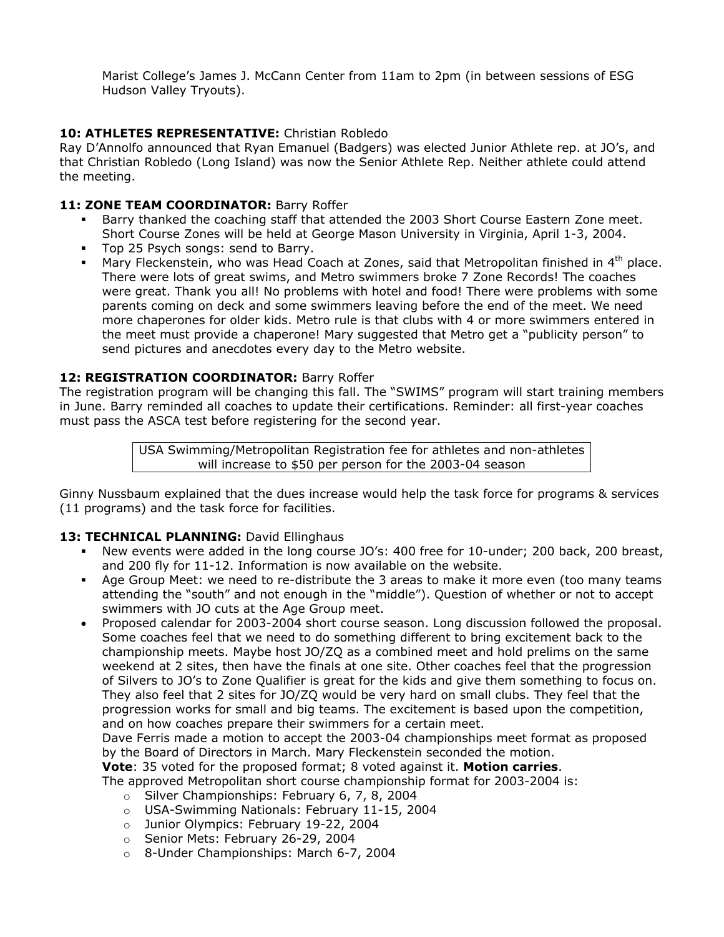Marist College's James J. McCann Center from 11am to 2pm (in between sessions of ESG Hudson Valley Tryouts).

## **10: ATHLETES REPRESENTATIVE:** Christian Robledo

Ray D'Annolfo announced that Ryan Emanuel (Badgers) was elected Junior Athlete rep. at JO's, and that Christian Robledo (Long Island) was now the Senior Athlete Rep. Neither athlete could attend the meeting.

## 11: **ZONE TEAM COORDINATOR: Barry Roffer**

- Barry thanked the coaching staff that attended the 2003 Short Course Eastern Zone meet. Short Course Zones will be held at George Mason University in Virginia, April 1-3, 2004.
- Top 25 Psych songs: send to Barry.
- **Mary Fleckenstein, who was Head Coach at Zones, said that Metropolitan finished in 4<sup>th</sup> place.** There were lots of great swims, and Metro swimmers broke 7 Zone Records! The coaches were great. Thank you all! No problems with hotel and food! There were problems with some parents coming on deck and some swimmers leaving before the end of the meet. We need more chaperones for older kids. Metro rule is that clubs with 4 or more swimmers entered in the meet must provide a chaperone! Mary suggested that Metro get a "publicity person" to send pictures and anecdotes every day to the Metro website.

## **12: REGISTRATION COORDINATOR:** Barry Roffer

The registration program will be changing this fall. The "SWIMS" program will start training members in June. Barry reminded all coaches to update their certifications. Reminder: all first-year coaches must pass the ASCA test before registering for the second year.

> USA Swimming/Metropolitan Registration fee for athletes and non-athletes will increase to \$50 per person for the 2003-04 season

Ginny Nussbaum explained that the dues increase would help the task force for programs & services (11 programs) and the task force for facilities.

## 13: TECHNICAL PLANNING: David Ellinghaus

- New events were added in the long course JO's: 400 free for 10-under; 200 back, 200 breast, and 200 fly for 11-12. Information is now available on the website.
- Age Group Meet: we need to re-distribute the 3 areas to make it more even (too many teams attending the "south" and not enough in the "middle"). Question of whether or not to accept swimmers with JO cuts at the Age Group meet.
- Proposed calendar for 2003-2004 short course season. Long discussion followed the proposal. Some coaches feel that we need to do something different to bring excitement back to the championship meets. Maybe host JO/ZQ as a combined meet and hold prelims on the same weekend at 2 sites, then have the finals at one site. Other coaches feel that the progression of Silvers to JO's to Zone Qualifier is great for the kids and give them something to focus on. They also feel that 2 sites for JO/ZQ would be very hard on small clubs. They feel that the progression works for small and big teams. The excitement is based upon the competition, and on how coaches prepare their swimmers for a certain meet.

Dave Ferris made a motion to accept the 2003-04 championships meet format as proposed by the Board of Directors in March. Mary Fleckenstein seconded the motion.

**Vote**: 35 voted for the proposed format; 8 voted against it. **Motion carries**.

The approved Metropolitan short course championship format for 2003-2004 is:

- o Silver Championships: February 6, 7, 8, 2004
- o USA-Swimming Nationals: February 11-15, 2004
- o Junior Olympics: February 19-22, 2004
- o Senior Mets: February 26-29, 2004
- o 8-Under Championships: March 6-7, 2004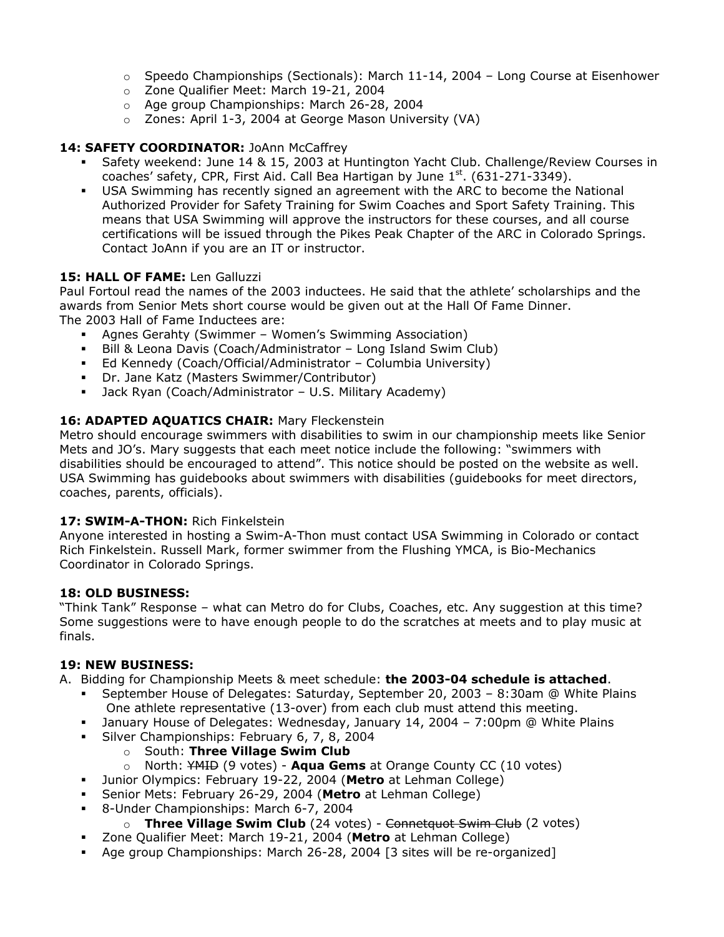- $\circ$  Speedo Championships (Sectionals): March 11-14, 2004 Long Course at Eisenhower
- o Zone Qualifier Meet: March 19-21, 2004
- o Age group Championships: March 26-28, 2004
- o Zones: April 1-3, 2004 at George Mason University (VA)

#### 14: SAFETY COORDINATOR: JoAnn McCaffrey

- Safety weekend: June 14 & 15, 2003 at Huntington Yacht Club. Challenge/Review Courses in coaches' safety, CPR, First Aid. Call Bea Hartigan by June  $1<sup>st</sup>$ . (631-271-3349).
- USA Swimming has recently signed an agreement with the ARC to become the National Authorized Provider for Safety Training for Swim Coaches and Sport Safety Training. This means that USA Swimming will approve the instructors for these courses, and all course certifications will be issued through the Pikes Peak Chapter of the ARC in Colorado Springs. Contact JoAnn if you are an IT or instructor.

#### **15: HALL OF FAME:** Len Galluzzi

Paul Fortoul read the names of the 2003 inductees. He said that the athlete' scholarships and the awards from Senior Mets short course would be given out at the Hall Of Fame Dinner. The 2003 Hall of Fame Inductees are:

- Agnes Gerahty (Swimmer Women's Swimming Association)
- Bill & Leona Davis (Coach/Administrator Long Island Swim Club)
- Ed Kennedy (Coach/Official/Administrator Columbia University)
- Dr. Jane Katz (Masters Swimmer/Contributor)
- Jack Ryan (Coach/Administrator U.S. Military Academy)

#### **16: ADAPTED AQUATICS CHAIR:** Mary Fleckenstein

Metro should encourage swimmers with disabilities to swim in our championship meets like Senior Mets and JO's. Mary suggests that each meet notice include the following: "swimmers with disabilities should be encouraged to attend". This notice should be posted on the website as well. USA Swimming has guidebooks about swimmers with disabilities (guidebooks for meet directors, coaches, parents, officials).

#### **17: SWIM-A-THON:** Rich Finkelstein

Anyone interested in hosting a Swim-A-Thon must contact USA Swimming in Colorado or contact Rich Finkelstein. Russell Mark, former swimmer from the Flushing YMCA, is Bio-Mechanics Coordinator in Colorado Springs.

#### **18: OLD BUSINESS:**

"Think Tank" Response – what can Metro do for Clubs, Coaches, etc. Any suggestion at this time? Some suggestions were to have enough people to do the scratches at meets and to play music at finals.

#### **19: NEW BUSINESS:**

A. Bidding for Championship Meets & meet schedule: **the 2003-04 schedule is attached**.

- September House of Delegates: Saturday, September 20, 2003 8:30am @ White Plains One athlete representative (13-over) from each club must attend this meeting.
- January House of Delegates: Wednesday, January 14, 2004 7:00pm @ White Plains
- Silver Championships: February 6, 7, 8, 2004
	- o South: **Three Village Swim Club**
	- o North: YMID (9 votes) **Aqua Gems** at Orange County CC (10 votes)
- Junior Olympics: February 19-22, 2004 (**Metro** at Lehman College)
- Senior Mets: February 26-29, 2004 (**Metro** at Lehman College)
- 8-Under Championships: March 6-7, 2004
	- o **Three Village Swim Club** (24 votes) Connetquot Swim Club (2 votes)
- Zone Qualifier Meet: March 19-21, 2004 (**Metro** at Lehman College)
- Age group Championships: March 26-28, 2004 [3 sites will be re-organized]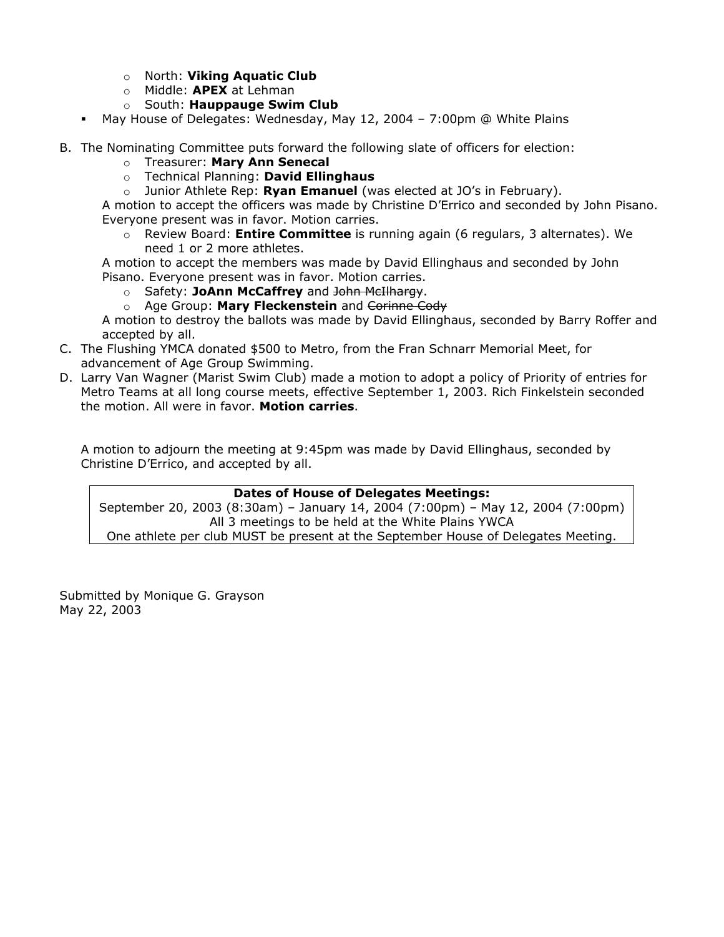- o North: **Viking Aquatic Club**
- o Middle: **APEX** at Lehman
- o South: **Hauppauge Swim Club**
- May House of Delegates: Wednesday, May 12, 2004 7:00pm @ White Plains
- B. The Nominating Committee puts forward the following slate of officers for election:
	- o Treasurer: **Mary Ann Senecal**
	- o Technical Planning: **David Ellinghaus**
	- o Junior Athlete Rep: **Ryan Emanuel** (was elected at JO's in February).

A motion to accept the officers was made by Christine D'Errico and seconded by John Pisano. Everyone present was in favor. Motion carries.

o Review Board: **Entire Committee** is running again (6 regulars, 3 alternates). We need 1 or 2 more athletes.

A motion to accept the members was made by David Ellinghaus and seconded by John Pisano. Everyone present was in favor. Motion carries.

- o Safety: **JoAnn McCaffrey** and John McIlhargy.
- o Age Group: **Mary Fleckenstein** and Corinne Cody

A motion to destroy the ballots was made by David Ellinghaus, seconded by Barry Roffer and accepted by all.

- C. The Flushing YMCA donated \$500 to Metro, from the Fran Schnarr Memorial Meet, for advancement of Age Group Swimming.
- D. Larry Van Wagner (Marist Swim Club) made a motion to adopt a policy of Priority of entries for Metro Teams at all long course meets, effective September 1, 2003. Rich Finkelstein seconded the motion. All were in favor. **Motion carries**.

A motion to adjourn the meeting at 9:45pm was made by David Ellinghaus, seconded by Christine D'Errico, and accepted by all.

#### **Dates of House of Delegates Meetings:**

September 20, 2003 (8:30am) – January 14, 2004 (7:00pm) – May 12, 2004 (7:00pm) All 3 meetings to be held at the White Plains YWCA One athlete per club MUST be present at the September House of Delegates Meeting.

Submitted by Monique G. Grayson May 22, 2003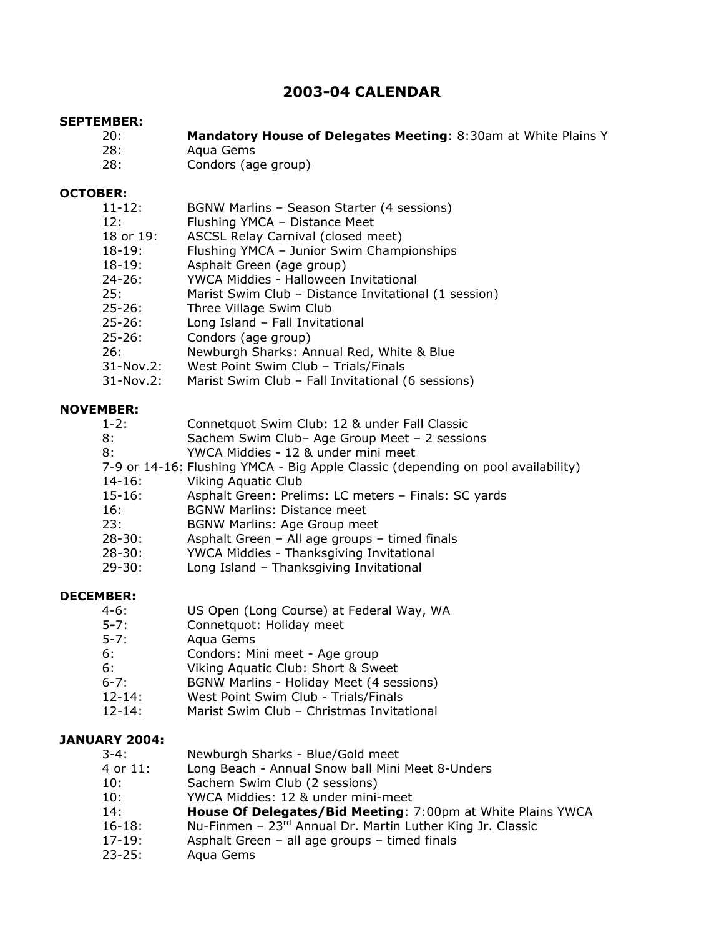## **2003-04 CALENDAR**

#### **SEPTEMBER:**

- 20: **Mandatory House of Delegates Meeting**: 8:30am at White Plains Y
- 28: Aqua Gems
- 28: Condors (age group)

#### **OCTOBER:**

| $11 - 12:$ |           | BGNW Marlins - Season Starter (4 sessions)           |
|------------|-----------|------------------------------------------------------|
| 12:        |           | Flushing YMCA - Distance Meet                        |
|            | 18 or 19: | ASCSL Relay Carnival (closed meet)                   |
| $18-19:$   |           | Flushing YMCA - Junior Swim Championships            |
| $18-19:$   |           | Asphalt Green (age group)                            |
| $24 - 26:$ |           | YWCA Middies - Halloween Invitational                |
| 25:        |           | Marist Swim Club - Distance Invitational (1 session) |
| $25 - 26:$ |           | Three Village Swim Club                              |
| $25 - 26:$ |           | Long Island - Fall Invitational                      |
| $25 - 26:$ |           | Condors (age group)                                  |
| 26:        |           | Newburgh Sharks: Annual Red, White & Blue            |
|            | 31-Nov.2: | West Point Swim Club - Trials/Finals                 |

31-Nov.2: Marist Swim Club – Fall Invitational (6 sessions)

#### **NOVEMBER:**

| $1 - 2:$ | Connetquot Swim Club: 12 & under Fall Classic |
|----------|-----------------------------------------------|
|          | Casham Cuim Club Age Croup Most 2 secolars    |

- 8: Sachem Swim Club– Age Group Meet 2 sessions
- 8: YWCA Middies 12 & under mini meet
- 7-9 or 14-16: Flushing YMCA Big Apple Classic (depending on pool availability)
- 14-16: Viking Aquatic Club
- 15-16: Asphalt Green: Prelims: LC meters Finals: SC yards
- 16: BGNW Marlins: Distance meet
- 23: BGNW Marlins: Age Group meet
- 28-30: Asphalt Green All age groups timed finals
- 28-30: YWCA Middies Thanksgiving Invitational
- 29-30: Long Island Thanksgiving Invitational

#### **DECEMBER:**

- 4-6: US Open (Long Course) at Federal Way, WA<br>5-7: Connetquot: Holiday meet
- 5**-**7: Connetquot: Holiday meet
- 5-7: Aqua Gems
- 6: Condors: Mini meet Age group
- 6: Viking Aquatic Club: Short & Sweet
- 6-7: BGNW Marlins Holiday Meet (4 sessions)
- 12-14: West Point Swim Club Trials/Finals
- 12-14: Marist Swim Club Christmas Invitational

#### **JANUARY 2004:**

- 4 or 11: Long Beach Annual Snow ball Mini Meet 8-Unders
- 10: Sachem Swim Club (2 sessions)
- 10: YWCA Middies: 12 & under mini-meet
- 14: **House Of Delegates/Bid Meeting**: 7:00pm at White Plains YWCA
- 16-18: Nu-Finmen 23rd Annual Dr. Martin Luther King Jr. Classic
- 17-19: Asphalt Green all age groups timed finals
- 23-25: Aqua Gems